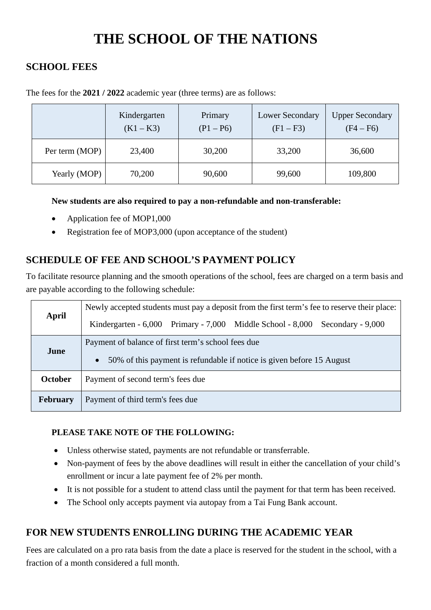# **THE SCHOOL OF THE NATIONS**

## **SCHOOL FEES**

|                | Kindergarten<br>$(K1 - K3)$ | Primary<br>$(P1 - P6)$ | <b>Lower Secondary</b><br>$(F1 - F3)$ | <b>Upper Secondary</b><br>$(F4 - F6)$ |
|----------------|-----------------------------|------------------------|---------------------------------------|---------------------------------------|
| Per term (MOP) | 23,400                      | 30,200                 | 33,200                                | 36,600                                |
| Yearly (MOP)   | 70,200                      | 90,600                 | 99,600                                | 109,800                               |

The fees for the **2021 / 2022** academic year (three terms) are as follows:

### **New students are also required to pay a non-refundable and non-transferable:**

- Application fee of MOP1,000
- Registration fee of MOP3,000 (upon acceptance of the student)

# **SCHEDULE OF FEE AND SCHOOL'S PAYMENT POLICY**

To facilitate resource planning and the smooth operations of the school, fees are charged on a term basis and are payable according to the following schedule:

| April           | Newly accepted students must pay a deposit from the first term's fee to reserve their place: |  |  |  |
|-----------------|----------------------------------------------------------------------------------------------|--|--|--|
|                 | Kindergarten - 6,000 Primary - 7,000 Middle School - 8,000<br>Secondary - 9,000              |  |  |  |
| June            | Payment of balance of first term's school fees due                                           |  |  |  |
|                 | 50% of this payment is refundable if notice is given before 15 August<br>$\bullet$           |  |  |  |
| October         | Payment of second term's fees due                                                            |  |  |  |
| <b>February</b> | Payment of third term's fees due                                                             |  |  |  |

### **PLEASE TAKE NOTE OF THE FOLLOWING:**

- Unless otherwise stated, payments are not refundable or transferrable.
- Non-payment of fees by the above deadlines will result in either the cancellation of your child's enrollment or incur a late payment fee of 2% per month.
- It is not possible for a student to attend class until the payment for that term has been received.
- The School only accepts payment via autopay from a Tai Fung Bank account.

# **FOR NEW STUDENTS ENROLLING DURING THE ACADEMIC YEAR**

Fees are calculated on a pro rata basis from the date a place is reserved for the student in the school, with a fraction of a month considered a full month.